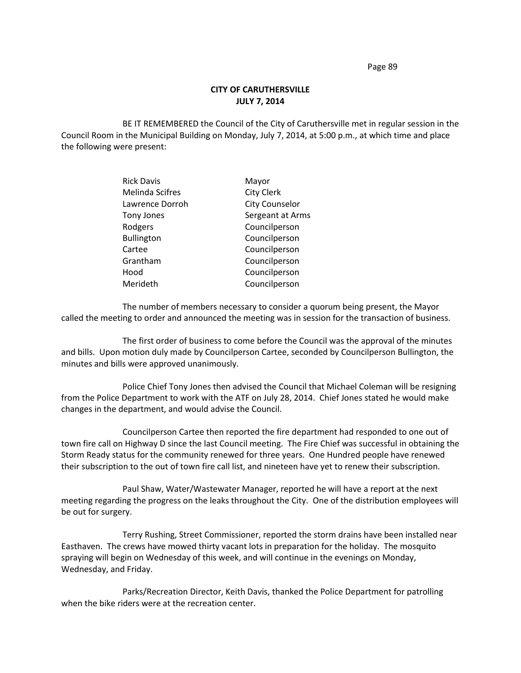Page 89

## **CITY OF CARUTHERSVILLE JULY 7, 2014**

BE IT REMEMBERED the Council of the City of Caruthersville met in regular session in the Council Room in the Municipal Building on Monday, July 7, 2014, at 5:00 p.m., at which time and place the following were present:

| <b>Rick Davis</b>      | Mayor                 |
|------------------------|-----------------------|
| <b>Melinda Scifres</b> | <b>City Clerk</b>     |
| Lawrence Dorroh        | <b>City Counselor</b> |
| <b>Tony Jones</b>      | Sergeant at Arms      |
| Rodgers                | Councilperson         |
| <b>Bullington</b>      | Councilperson         |
| Cartee                 | Councilperson         |
| Grantham               | Councilperson         |
| Hood                   | Councilperson         |
| Merideth               | Councilperson         |

The number of members necessary to consider a quorum being present, the Mayor called the meeting to order and announced the meeting was in session for the transaction of business.

The first order of business to come before the Council was the approval of the minutes and bills. Upon motion duly made by Councilperson Cartee, seconded by Councilperson Bullington, the minutes and bills were approved unanimously.

Police Chief Tony Jones then advised the Council that Michael Coleman will be resigning from the Police Department to work with the ATF on July 28, 2014. Chief Jones stated he would make changes in the department, and would advise the Council.

Councilperson Cartee then reported the fire department had responded to one out of town fire call on Highway D since the last Council meeting. The Fire Chief was successful in obtaining the Storm Ready status for the community renewed for three years. One Hundred people have renewed their subscription to the out of town fire call list, and nineteen have yet to renew their subscription.

Paul Shaw, Water/Wastewater Manager, reported he will have a report at the next meeting regarding the progress on the leaks throughout the City. One of the distribution employees will be out for surgery.

Terry Rushing, Street Commissioner, reported the storm drains have been installed near Easthaven. The crews have mowed thirty vacant lots in preparation for the holiday. The mosquito spraying will begin on Wednesday of this week, and will continue in the evenings on Monday, Wednesday, and Friday.

Parks/Recreation Director, Keith Davis, thanked the Police Department for patrolling when the bike riders were at the recreation center.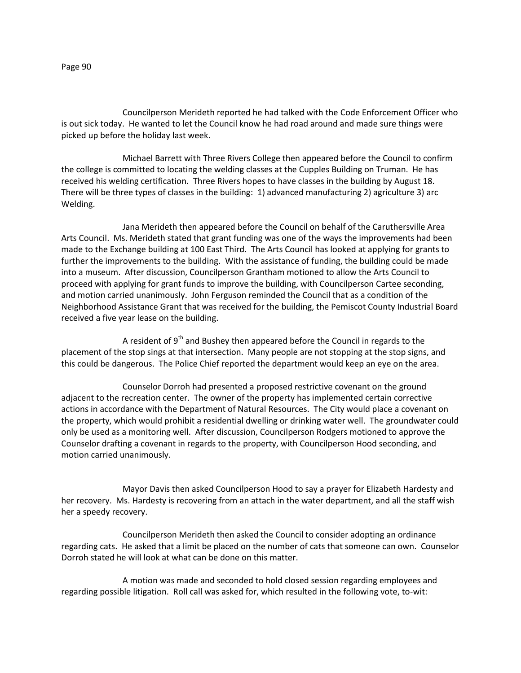Councilperson Merideth reported he had talked with the Code Enforcement Officer who is out sick today. He wanted to let the Council know he had road around and made sure things were

Michael Barrett with Three Rivers College then appeared before the Council to confirm the college is committed to locating the welding classes at the Cupples Building on Truman. He has received his welding certification. Three Rivers hopes to have classes in the building by August 18. There will be three types of classes in the building: 1) advanced manufacturing 2) agriculture 3) arc Welding.

Jana Merideth then appeared before the Council on behalf of the Caruthersville Area Arts Council. Ms. Merideth stated that grant funding was one of the ways the improvements had been made to the Exchange building at 100 East Third. The Arts Council has looked at applying for grants to further the improvements to the building. With the assistance of funding, the building could be made into a museum. After discussion, Councilperson Grantham motioned to allow the Arts Council to proceed with applying for grant funds to improve the building, with Councilperson Cartee seconding, and motion carried unanimously. John Ferguson reminded the Council that as a condition of the Neighborhood Assistance Grant that was received for the building, the Pemiscot County Industrial Board received a five year lease on the building.

A resident of  $9<sup>th</sup>$  and Bushey then appeared before the Council in regards to the placement of the stop sings at that intersection. Many people are not stopping at the stop signs, and this could be dangerous. The Police Chief reported the department would keep an eye on the area.

Counselor Dorroh had presented a proposed restrictive covenant on the ground adjacent to the recreation center. The owner of the property has implemented certain corrective actions in accordance with the Department of Natural Resources. The City would place a covenant on the property, which would prohibit a residential dwelling or drinking water well. The groundwater could only be used as a monitoring well. After discussion, Councilperson Rodgers motioned to approve the Counselor drafting a covenant in regards to the property, with Councilperson Hood seconding, and motion carried unanimously.

Mayor Davis then asked Councilperson Hood to say a prayer for Elizabeth Hardesty and her recovery. Ms. Hardesty is recovering from an attach in the water department, and all the staff wish her a speedy recovery.

Councilperson Merideth then asked the Council to consider adopting an ordinance regarding cats. He asked that a limit be placed on the number of cats that someone can own. Counselor Dorroh stated he will look at what can be done on this matter.

A motion was made and seconded to hold closed session regarding employees and regarding possible litigation. Roll call was asked for, which resulted in the following vote, to-wit:

picked up before the holiday last week.